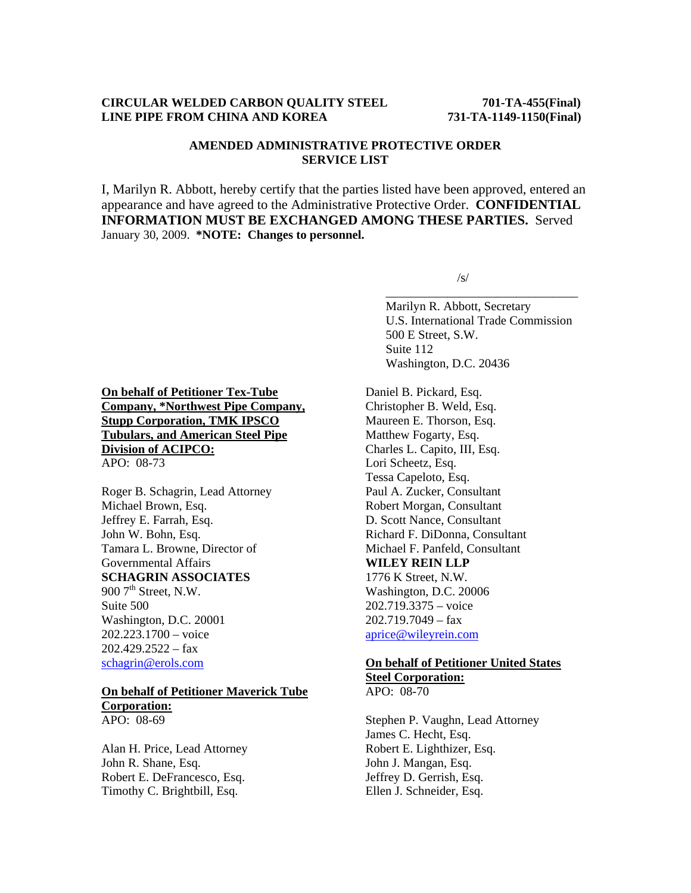## **CIRCULAR WELDED CARBON QUALITY STEEL 701-TA-455(Final) LINE PIPE FROM CHINA AND KOREA 731-TA-1149-1150(Final)**

# **AMENDED ADMINISTRATIVE PROTECTIVE ORDER SERVICE LIST**

I, Marilyn R. Abbott, hereby certify that the parties listed have been approved, entered an appearance and have agreed to the Administrative Protective Order. **CONFIDENTIAL INFORMATION MUST BE EXCHANGED AMONG THESE PARTIES.** Served January 30, 2009. **\*NOTE: Changes to personnel.** 

 $\overline{\phantom{a}}$  , and the contract of the contract of the contract of the contract of the contract of the contract of the contract of the contract of the contract of the contract of the contract of the contract of the contrac

 $\sqrt{s}$ /s/

 Marilyn R. Abbott, Secretary U.S. International Trade Commission 500 E Street, S.W. Suite 112 Washington, D.C. 20436

**On behalf of Petitioner Tex-Tube Company, \*Northwest Pipe Company, Stupp Corporation, TMK IPSCO Tubulars, and American Steel Pipe Division of ACIPCO:** APO: 08-73

Roger B. Schagrin, Lead Attorney Michael Brown, Esq. Jeffrey E. Farrah, Esq. John W. Bohn, Esq. Tamara L. Browne, Director of Governmental Affairs **SCHAGRIN ASSOCIATES**  900  $7<sup>th</sup>$  Street, N.W. Suite 500 Washington, D.C. 20001 202.223.1700 – voice  $202.429.2522 - fax$ schagrin@erols.com

### **On behalf of Petitioner Maverick Tube Corporation:**

APO: 08-69

Alan H. Price, Lead Attorney John R. Shane, Esq. Robert E. DeFrancesco, Esq. Timothy C. Brightbill, Esq.

Daniel B. Pickard, Esq. Christopher B. Weld, Esq. Maureen E. Thorson, Esq. Matthew Fogarty, Esq. Charles L. Capito, III, Esq. Lori Scheetz, Esq. Tessa Capeloto, Esq. Paul A. Zucker, Consultant Robert Morgan, Consultant D. Scott Nance, Consultant Richard F. DiDonna, Consultant Michael F. Panfeld, Consultant **WILEY REIN LLP** 1776 K Street, N.W. Washington, D.C. 20006 202.719.3375 – voice  $202.719.7049 - fax$ aprice@wileyrein.com

# **On behalf of Petitioner United States Steel Corporation:**

APO: 08-70

Stephen P. Vaughn, Lead Attorney James C. Hecht, Esq. Robert E. Lighthizer, Esq. John J. Mangan, Esq. Jeffrey D. Gerrish, Esq. Ellen J. Schneider, Esq.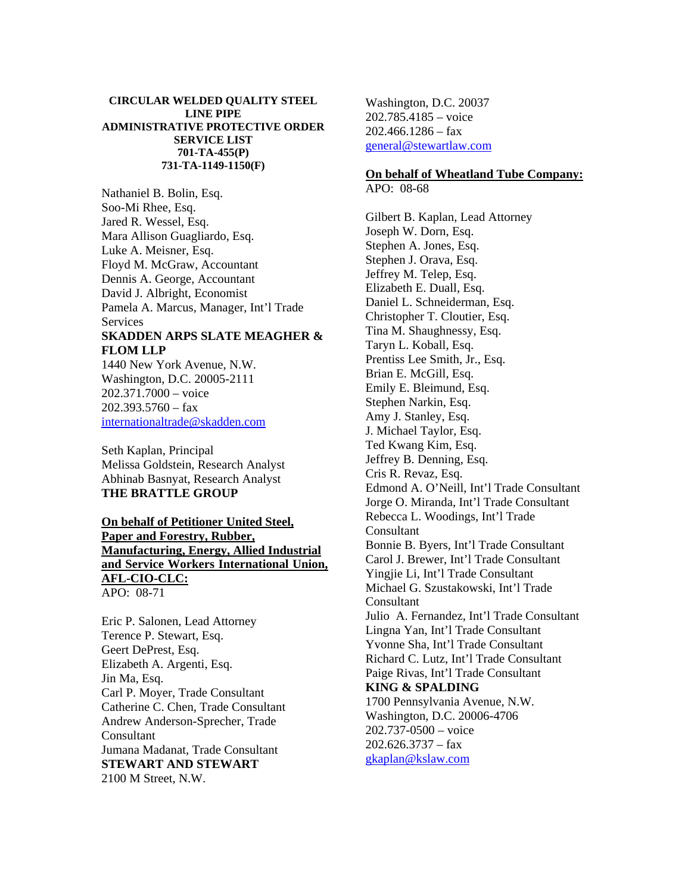#### **CIRCULAR WELDED QUALITY STEEL LINE PIPE ADMINISTRATIVE PROTECTIVE ORDER SERVICE LIST 701-TA-455(P) 731-TA-1149-1150(F)**

Nathaniel B. Bolin, Esq. Soo-Mi Rhee, Esq. Jared R. Wessel, Esq. Mara Allison Guagliardo, Esq. Luke A. Meisner, Esq. Floyd M. McGraw, Accountant Dennis A. George, Accountant David J. Albright, Economist Pamela A. Marcus, Manager, Int'l Trade **Services SKADDEN ARPS SLATE MEAGHER & FLOM LLP** 1440 New York Avenue, N.W.

Washington, D.C. 20005-2111 202.371.7000 – voice  $202.393.5760 - fax$ internationaltrade@skadden.com

Seth Kaplan, Principal Melissa Goldstein, Research Analyst Abhinab Basnyat, Research Analyst **THE BRATTLE GROUP** 

# **On behalf of Petitioner United Steel, Paper and Forestry, Rubber, Manufacturing, Energy, Allied Industrial and Service Workers International Union, AFL-CIO-CLC:** APO: 08-71

Eric P. Salonen, Lead Attorney Terence P. Stewart, Esq. Geert DePrest, Esq. Elizabeth A. Argenti, Esq. Jin Ma, Esq. Carl P. Moyer, Trade Consultant Catherine C. Chen, Trade Consultant Andrew Anderson-Sprecher, Trade **Consultant** Jumana Madanat, Trade Consultant **STEWART AND STEWART** 2100 M Street, N.W.

Washington, D.C. 20037 202.785.4185 – voice  $202.466.1286 - fax$ general@stewartlaw.com

# **On behalf of Wheatland Tube Company:**

APO: 08-68

Gilbert B. Kaplan, Lead Attorney Joseph W. Dorn, Esq. Stephen A. Jones, Esq. Stephen J. Orava, Esq. Jeffrey M. Telep, Esq. Elizabeth E. Duall, Esq. Daniel L. Schneiderman, Esq. Christopher T. Cloutier, Esq. Tina M. Shaughnessy, Esq. Taryn L. Koball, Esq. Prentiss Lee Smith, Jr., Esq. Brian E. McGill, Esq. Emily E. Bleimund, Esq. Stephen Narkin, Esq. Amy J. Stanley, Esq. J. Michael Taylor, Esq. Ted Kwang Kim, Esq. Jeffrey B. Denning, Esq. Cris R. Revaz, Esq. Edmond A. O'Neill, Int'l Trade Consultant Jorge O. Miranda, Int'l Trade Consultant Rebecca L. Woodings, Int'l Trade **Consultant** Bonnie B. Byers, Int'l Trade Consultant Carol J. Brewer, Int'l Trade Consultant Yingjie Li, Int'l Trade Consultant Michael G. Szustakowski, Int'l Trade **Consultant** Julio A. Fernandez, Int'l Trade Consultant Lingna Yan, Int'l Trade Consultant Yvonne Sha, Int'l Trade Consultant Richard C. Lutz, Int'l Trade Consultant Paige Rivas, Int'l Trade Consultant **KING & SPALDING** 1700 Pennsylvania Avenue, N.W. Washington, D.C. 20006-4706 202.737-0500 – voice  $202.626.3737 - fax$ gkaplan@kslaw.com